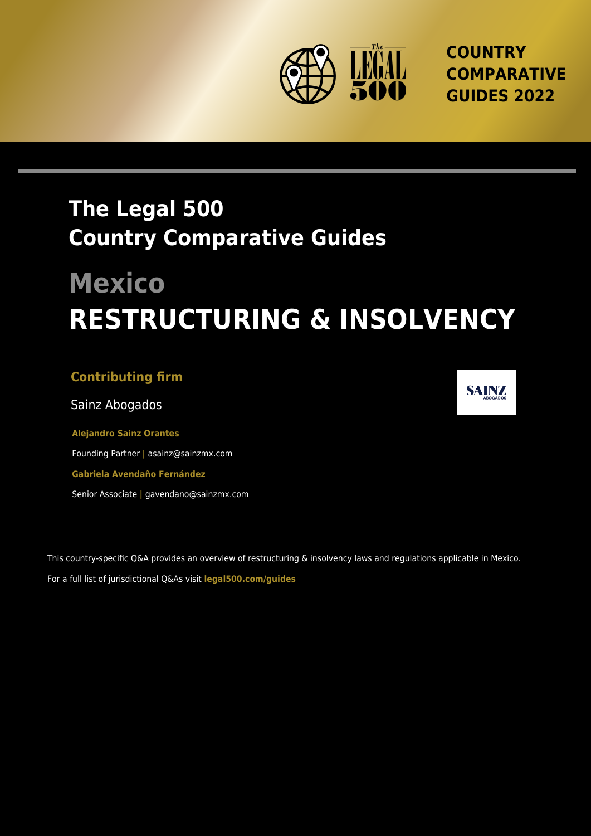

**COUNTRY COMPARATIVE GUIDES 2022**

## **The Legal 500 Country Comparative Guides**

# **Mexico RESTRUCTURING & INSOLVENCY**

#### **Contributing firm**

Sainz Abogados

**Alejandro Sainz Orantes** Founding Partner **|** asainz@sainzmx.com **Gabriela Avendaño Fernández** Senior Associate **|** gavendano@sainzmx.com

This country-specific Q&A provides an overview of restructuring & insolvency laws and regulations applicable in Mexico. For a full list of jurisdictional Q&As visit **[legal500.com/guides](https://www.legal500.com/guides/)**

**SAINZ**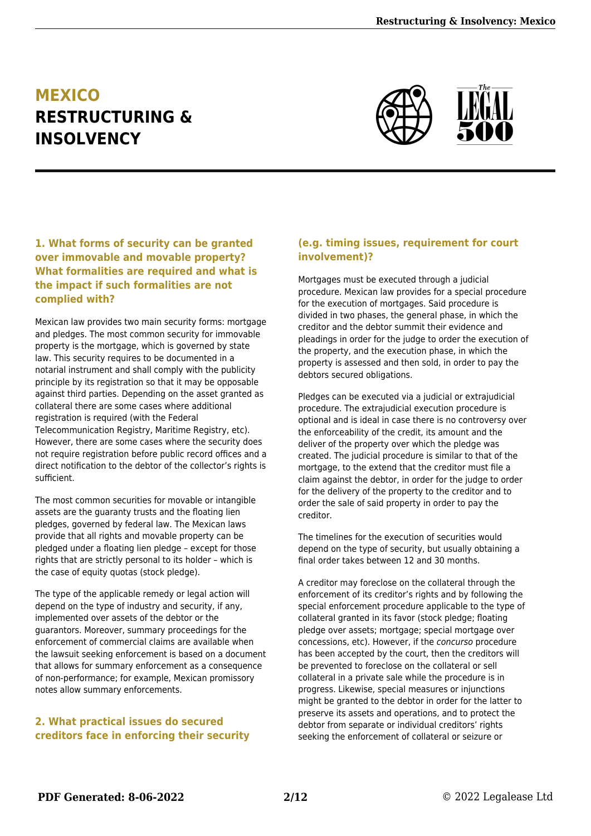### **MEXICO RESTRUCTURING & INSOLVENCY**



#### **1. What forms of security can be granted over immovable and movable property? What formalities are required and what is the impact if such formalities are not complied with?**

Mexican law provides two main security forms: mortgage and pledges. The most common security for immovable property is the mortgage, which is governed by state law. This security requires to be documented in a notarial instrument and shall comply with the publicity principle by its registration so that it may be opposable against third parties. Depending on the asset granted as collateral there are some cases where additional registration is required (with the Federal Telecommunication Registry, Maritime Registry, etc). However, there are some cases where the security does not require registration before public record offices and a direct notification to the debtor of the collector's rights is sufficient.

The most common securities for movable or intangible assets are the guaranty trusts and the floating lien pledges, governed by federal law. The Mexican laws provide that all rights and movable property can be pledged under a floating lien pledge – except for those rights that are strictly personal to its holder – which is the case of equity quotas (stock pledge).

The type of the applicable remedy or legal action will depend on the type of industry and security, if any, implemented over assets of the debtor or the guarantors. Moreover, summary proceedings for the enforcement of commercial claims are available when the lawsuit seeking enforcement is based on a document that allows for summary enforcement as a consequence of non-performance; for example, Mexican promissory notes allow summary enforcements.

#### **2. What practical issues do secured creditors face in enforcing their security**

#### **(e.g. timing issues, requirement for court involvement)?**

Mortgages must be executed through a judicial procedure. Mexican law provides for a special procedure for the execution of mortgages. Said procedure is divided in two phases, the general phase, in which the creditor and the debtor summit their evidence and pleadings in order for the judge to order the execution of the property, and the execution phase, in which the property is assessed and then sold, in order to pay the debtors secured obligations.

Pledges can be executed via a judicial or extrajudicial procedure. The extrajudicial execution procedure is optional and is ideal in case there is no controversy over the enforceability of the credit, its amount and the deliver of the property over which the pledge was created. The judicial procedure is similar to that of the mortgage, to the extend that the creditor must file a claim against the debtor, in order for the judge to order for the delivery of the property to the creditor and to order the sale of said property in order to pay the creditor.

The timelines for the execution of securities would depend on the type of security, but usually obtaining a final order takes between 12 and 30 months.

A creditor may foreclose on the collateral through the enforcement of its creditor's rights and by following the special enforcement procedure applicable to the type of collateral granted in its favor (stock pledge; floating pledge over assets; mortgage; special mortgage over concessions, etc). However, if the concurso procedure has been accepted by the court, then the creditors will be prevented to foreclose on the collateral or sell collateral in a private sale while the procedure is in progress. Likewise, special measures or injunctions might be granted to the debtor in order for the latter to preserve its assets and operations, and to protect the debtor from separate or individual creditors' rights seeking the enforcement of collateral or seizure or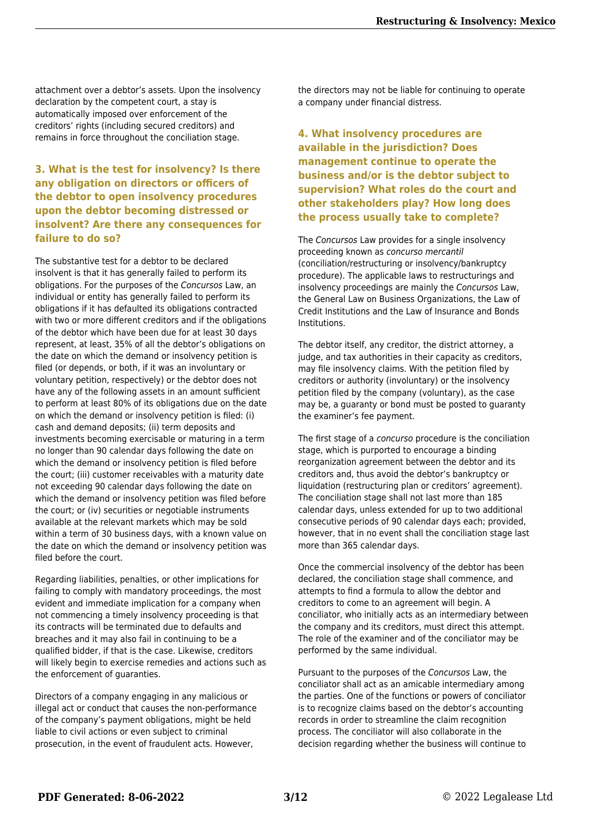attachment over a debtor's assets. Upon the insolvency declaration by the competent court, a stay is automatically imposed over enforcement of the creditors' rights (including secured creditors) and remains in force throughout the conciliation stage.

#### **3. What is the test for insolvency? Is there any obligation on directors or officers of the debtor to open insolvency procedures upon the debtor becoming distressed or insolvent? Are there any consequences for failure to do so?**

The substantive test for a debtor to be declared insolvent is that it has generally failed to perform its obligations. For the purposes of the Concursos Law, an individual or entity has generally failed to perform its obligations if it has defaulted its obligations contracted with two or more different creditors and if the obligations of the debtor which have been due for at least 30 days represent, at least, 35% of all the debtor's obligations on the date on which the demand or insolvency petition is filed (or depends, or both, if it was an involuntary or voluntary petition, respectively) or the debtor does not have any of the following assets in an amount sufficient to perform at least 80% of its obligations due on the date on which the demand or insolvency petition is filed: (i) cash and demand deposits; (ii) term deposits and investments becoming exercisable or maturing in a term no longer than 90 calendar days following the date on which the demand or insolvency petition is filed before the court; (iii) customer receivables with a maturity date not exceeding 90 calendar days following the date on which the demand or insolvency petition was filed before the court; or (iv) securities or negotiable instruments available at the relevant markets which may be sold within a term of 30 business days, with a known value on the date on which the demand or insolvency petition was filed before the court.

Regarding liabilities, penalties, or other implications for failing to comply with mandatory proceedings, the most evident and immediate implication for a company when not commencing a timely insolvency proceeding is that its contracts will be terminated due to defaults and breaches and it may also fail in continuing to be a qualified bidder, if that is the case. Likewise, creditors will likely begin to exercise remedies and actions such as the enforcement of guaranties.

Directors of a company engaging in any malicious or illegal act or conduct that causes the non-performance of the company's payment obligations, might be held liable to civil actions or even subject to criminal prosecution, in the event of fraudulent acts. However,

the directors may not be liable for continuing to operate a company under financial distress.

#### **4. What insolvency procedures are available in the jurisdiction? Does management continue to operate the business and/or is the debtor subject to supervision? What roles do the court and other stakeholders play? How long does the process usually take to complete?**

The Concursos Law provides for a single insolvency proceeding known as concurso mercantil (conciliation/restructuring or insolvency/bankruptcy procedure). The applicable laws to restructurings and insolvency proceedings are mainly the Concursos Law, the General Law on Business Organizations, the Law of Credit Institutions and the Law of Insurance and Bonds Institutions.

The debtor itself, any creditor, the district attorney, a judge, and tax authorities in their capacity as creditors, may file insolvency claims. With the petition filed by creditors or authority (involuntary) or the insolvency petition filed by the company (voluntary), as the case may be, a guaranty or bond must be posted to guaranty the examiner's fee payment.

The first stage of a concurso procedure is the conciliation stage, which is purported to encourage a binding reorganization agreement between the debtor and its creditors and, thus avoid the debtor's bankruptcy or liquidation (restructuring plan or creditors' agreement). The conciliation stage shall not last more than 185 calendar days, unless extended for up to two additional consecutive periods of 90 calendar days each; provided, however, that in no event shall the conciliation stage last more than 365 calendar days.

Once the commercial insolvency of the debtor has been declared, the conciliation stage shall commence, and attempts to find a formula to allow the debtor and creditors to come to an agreement will begin. A conciliator, who initially acts as an intermediary between the company and its creditors, must direct this attempt. The role of the examiner and of the conciliator may be performed by the same individual.

Pursuant to the purposes of the Concursos Law, the conciliator shall act as an amicable intermediary among the parties. One of the functions or powers of conciliator is to recognize claims based on the debtor's accounting records in order to streamline the claim recognition process. The conciliator will also collaborate in the decision regarding whether the business will continue to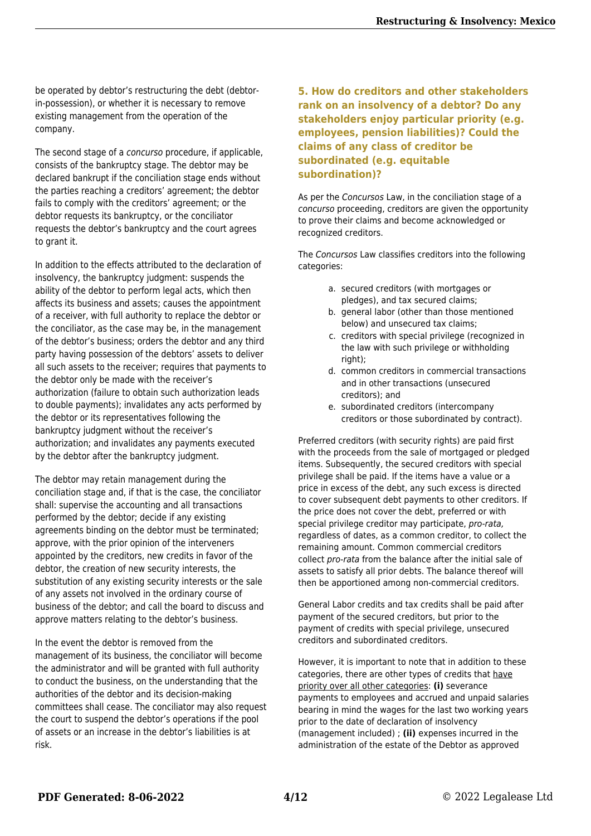be operated by debtor's restructuring the debt (debtorin-possession), or whether it is necessary to remove existing management from the operation of the company.

The second stage of a *concurso* procedure, if applicable, consists of the bankruptcy stage. The debtor may be declared bankrupt if the conciliation stage ends without the parties reaching a creditors' agreement; the debtor fails to comply with the creditors' agreement; or the debtor requests its bankruptcy, or the conciliator requests the debtor's bankruptcy and the court agrees to grant it.

In addition to the effects attributed to the declaration of insolvency, the bankruptcy judgment: suspends the ability of the debtor to perform legal acts, which then affects its business and assets; causes the appointment of a receiver, with full authority to replace the debtor or the conciliator, as the case may be, in the management of the debtor's business; orders the debtor and any third party having possession of the debtors' assets to deliver all such assets to the receiver; requires that payments to the debtor only be made with the receiver's authorization (failure to obtain such authorization leads to double payments); invalidates any acts performed by the debtor or its representatives following the bankruptcy judgment without the receiver's authorization; and invalidates any payments executed by the debtor after the bankruptcy judgment.

The debtor may retain management during the conciliation stage and, if that is the case, the conciliator shall: supervise the accounting and all transactions performed by the debtor; decide if any existing agreements binding on the debtor must be terminated; approve, with the prior opinion of the interveners appointed by the creditors, new credits in favor of the debtor, the creation of new security interests, the substitution of any existing security interests or the sale of any assets not involved in the ordinary course of business of the debtor; and call the board to discuss and approve matters relating to the debtor's business.

In the event the debtor is removed from the management of its business, the conciliator will become the administrator and will be granted with full authority to conduct the business, on the understanding that the authorities of the debtor and its decision-making committees shall cease. The conciliator may also request the court to suspend the debtor's operations if the pool of assets or an increase in the debtor's liabilities is at risk.

#### **5. How do creditors and other stakeholders rank on an insolvency of a debtor? Do any stakeholders enjoy particular priority (e.g. employees, pension liabilities)? Could the claims of any class of creditor be subordinated (e.g. equitable subordination)?**

As per the Concursos Law, in the conciliation stage of a concurso proceeding, creditors are given the opportunity to prove their claims and become acknowledged or recognized creditors.

The Concursos Law classifies creditors into the following categories:

- a. secured creditors (with mortgages or pledges), and tax secured claims;
- b. general labor (other than those mentioned below) and unsecured tax claims;
- c. creditors with special privilege (recognized in the law with such privilege or withholding right);
- d. common creditors in commercial transactions and in other transactions (unsecured creditors); and
- e. subordinated creditors (intercompany creditors or those subordinated by contract).

Preferred creditors (with security rights) are paid first with the proceeds from the sale of mortgaged or pledged items. Subsequently, the secured creditors with special privilege shall be paid. If the items have a value or a price in excess of the debt, any such excess is directed to cover subsequent debt payments to other creditors. If the price does not cover the debt, preferred or with special privilege creditor may participate, pro-rata, regardless of dates, as a common creditor, to collect the remaining amount. Common commercial creditors collect pro-rata from the balance after the initial sale of assets to satisfy all prior debts. The balance thereof will then be apportioned among non-commercial creditors.

General Labor credits and tax credits shall be paid after payment of the secured creditors, but prior to the payment of credits with special privilege, unsecured creditors and subordinated creditors.

However, it is important to note that in addition to these categories, there are other types of credits that have priority over all other categories: **(i)** severance payments to employees and accrued and unpaid salaries bearing in mind the wages for the last two working years prior to the date of declaration of insolvency (management included) ; **(ii)** expenses incurred in the administration of the estate of the Debtor as approved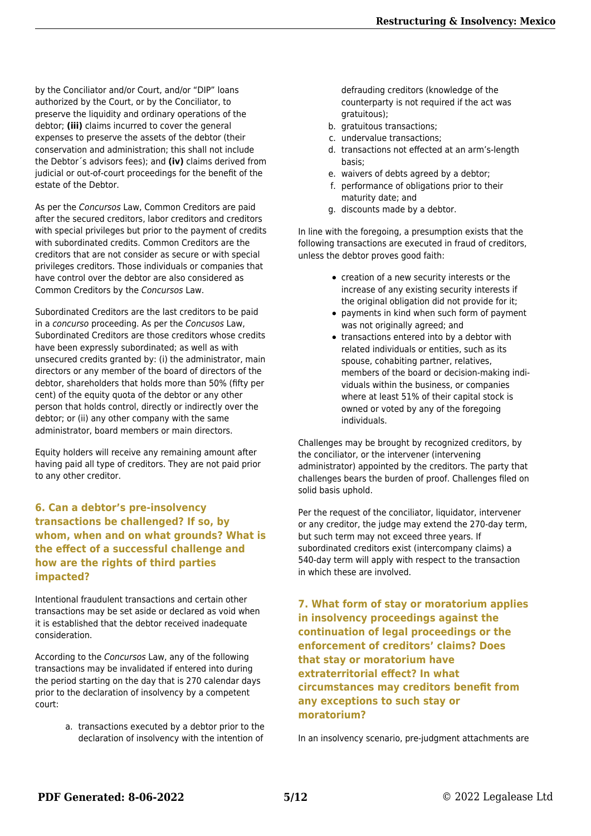by the Conciliator and/or Court, and/or "DIP" loans authorized by the Court, or by the Conciliator, to preserve the liquidity and ordinary operations of the debtor; **(iii)** claims incurred to cover the general expenses to preserve the assets of the debtor (their conservation and administration; this shall not include the Debtor´s advisors fees); and **(iv)** claims derived from judicial or out-of-court proceedings for the benefit of the estate of the Debtor.

As per the Concursos Law, Common Creditors are paid after the secured creditors, labor creditors and creditors with special privileges but prior to the payment of credits with subordinated credits. Common Creditors are the creditors that are not consider as secure or with special privileges creditors. Those individuals or companies that have control over the debtor are also considered as Common Creditors by the Concursos Law.

Subordinated Creditors are the last creditors to be paid in a concurso proceeding. As per the Concusos Law, Subordinated Creditors are those creditors whose credits have been expressly subordinated; as well as with unsecured credits granted by: (i) the administrator, main directors or any member of the board of directors of the debtor, shareholders that holds more than 50% (fifty per cent) of the equity quota of the debtor or any other person that holds control, directly or indirectly over the debtor; or (ii) any other company with the same administrator, board members or main directors.

Equity holders will receive any remaining amount after having paid all type of creditors. They are not paid prior to any other creditor.

**6. Can a debtor's pre-insolvency transactions be challenged? If so, by whom, when and on what grounds? What is the effect of a successful challenge and how are the rights of third parties impacted?**

Intentional fraudulent transactions and certain other transactions may be set aside or declared as void when it is established that the debtor received inadequate consideration.

According to the Concursos Law, any of the following transactions may be invalidated if entered into during the period starting on the day that is 270 calendar days prior to the declaration of insolvency by a competent court:

> a. transactions executed by a debtor prior to the declaration of insolvency with the intention of

defrauding creditors (knowledge of the counterparty is not required if the act was gratuitous);

- b. gratuitous transactions;
- c. undervalue transactions;
- d. transactions not effected at an arm's-length basis;
- e. waivers of debts agreed by a debtor;
- f. performance of obligations prior to their maturity date; and
- g. discounts made by a debtor.

In line with the foregoing, a presumption exists that the following transactions are executed in fraud of creditors, unless the debtor proves good faith:

- creation of a new security interests or the increase of any existing security interests if the original obligation did not provide for it;
- payments in kind when such form of payment was not originally agreed; and
- transactions entered into by a debtor with related individuals or entities, such as its spouse, cohabiting partner, relatives, members of the board or decision-making individuals within the business, or companies where at least 51% of their capital stock is owned or voted by any of the foregoing individuals.

Challenges may be brought by recognized creditors, by the conciliator, or the intervener (intervening administrator) appointed by the creditors. The party that challenges bears the burden of proof. Challenges filed on solid basis uphold.

Per the request of the conciliator, liquidator, intervener or any creditor, the judge may extend the 270-day term, but such term may not exceed three years. If subordinated creditors exist (intercompany claims) a 540-day term will apply with respect to the transaction in which these are involved.

**7. What form of stay or moratorium applies in insolvency proceedings against the continuation of legal proceedings or the enforcement of creditors' claims? Does that stay or moratorium have extraterritorial effect? In what circumstances may creditors benefit from any exceptions to such stay or moratorium?**

In an insolvency scenario, pre-judgment attachments are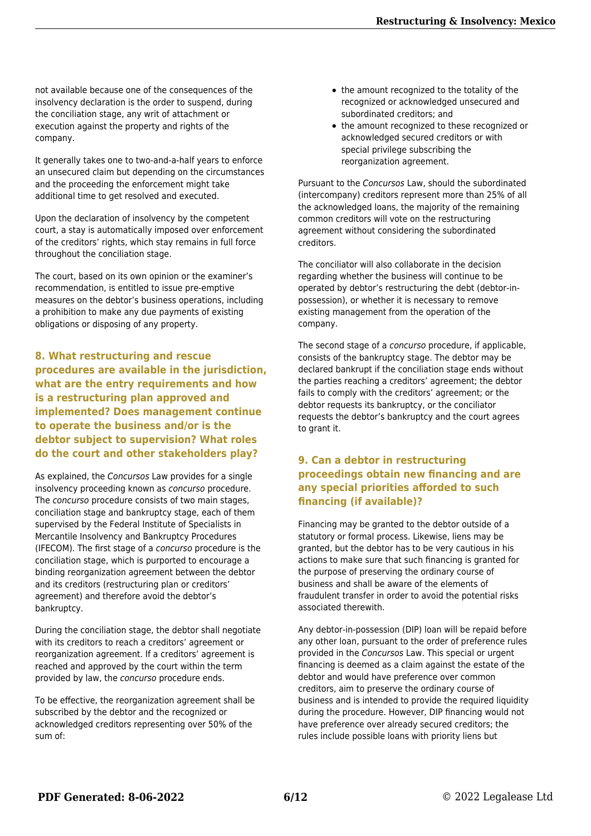not available because one of the consequences of the insolvency declaration is the order to suspend, during the conciliation stage, any writ of attachment or execution against the property and rights of the company.

It generally takes one to two-and-a-half years to enforce an unsecured claim but depending on the circumstances and the proceeding the enforcement might take additional time to get resolved and executed.

Upon the declaration of insolvency by the competent court, a stay is automatically imposed over enforcement of the creditors' rights, which stay remains in full force throughout the conciliation stage.

The court, based on its own opinion or the examiner's recommendation, is entitled to issue pre-emptive measures on the debtor's business operations, including a prohibition to make any due payments of existing obligations or disposing of any property.

**8. What restructuring and rescue procedures are available in the jurisdiction, what are the entry requirements and how is a restructuring plan approved and implemented? Does management continue to operate the business and/or is the debtor subject to supervision? What roles do the court and other stakeholders play?**

As explained, the Concursos Law provides for a single insolvency proceeding known as concurso procedure. The concurso procedure consists of two main stages, conciliation stage and bankruptcy stage, each of them supervised by the Federal Institute of Specialists in Mercantile Insolvency and Bankruptcy Procedures (IFECOM). The first stage of a concurso procedure is the conciliation stage, which is purported to encourage a binding reorganization agreement between the debtor and its creditors (restructuring plan or creditors' agreement) and therefore avoid the debtor's bankruptcy.

During the conciliation stage, the debtor shall negotiate with its creditors to reach a creditors' agreement or reorganization agreement. If a creditors' agreement is reached and approved by the court within the term provided by law, the concurso procedure ends.

To be effective, the reorganization agreement shall be subscribed by the debtor and the recognized or acknowledged creditors representing over 50% of the sum of:

- the amount recognized to the totality of the recognized or acknowledged unsecured and subordinated creditors; and
- the amount recognized to these recognized or acknowledged secured creditors or with special privilege subscribing the reorganization agreement.

Pursuant to the Concursos Law, should the subordinated (intercompany) creditors represent more than 25% of all the acknowledged loans, the majority of the remaining common creditors will vote on the restructuring agreement without considering the subordinated creditors.

The conciliator will also collaborate in the decision regarding whether the business will continue to be operated by debtor's restructuring the debt (debtor-inpossession), or whether it is necessary to remove existing management from the operation of the company.

The second stage of a concurso procedure, if applicable, consists of the bankruptcy stage. The debtor may be declared bankrupt if the conciliation stage ends without the parties reaching a creditors' agreement; the debtor fails to comply with the creditors' agreement; or the debtor requests its bankruptcy, or the conciliator requests the debtor's bankruptcy and the court agrees to grant it.

#### **9. Can a debtor in restructuring proceedings obtain new financing and are any special priorities afforded to such financing (if available)?**

Financing may be granted to the debtor outside of a statutory or formal process. Likewise, liens may be granted, but the debtor has to be very cautious in his actions to make sure that such financing is granted for the purpose of preserving the ordinary course of business and shall be aware of the elements of fraudulent transfer in order to avoid the potential risks associated therewith.

Any debtor-in-possession (DIP) loan will be repaid before any other loan, pursuant to the order of preference rules provided in the Concursos Law. This special or urgent financing is deemed as a claim against the estate of the debtor and would have preference over common creditors, aim to preserve the ordinary course of business and is intended to provide the required liquidity during the procedure. However, DIP financing would not have preference over already secured creditors; the rules include possible loans with priority liens but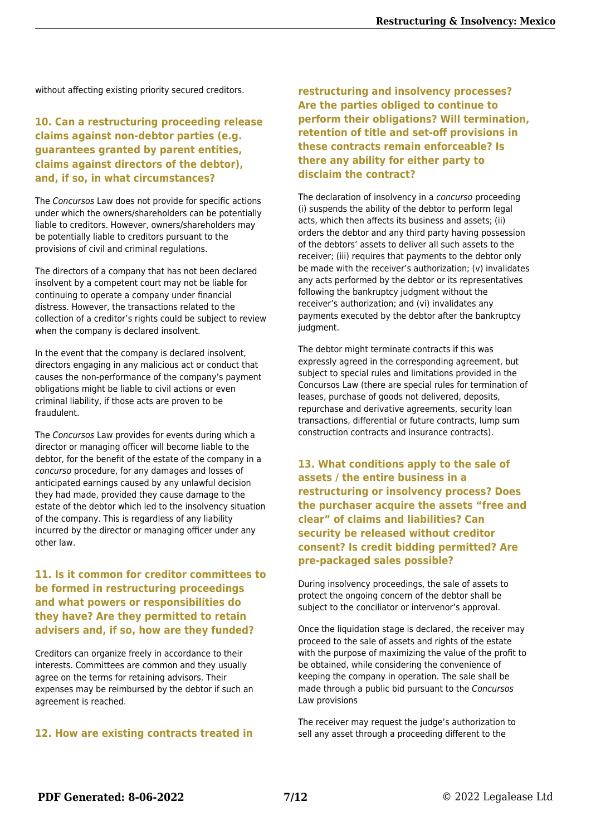without affecting existing priority secured creditors.

#### **10. Can a restructuring proceeding release claims against non-debtor parties (e.g. guarantees granted by parent entities, claims against directors of the debtor), and, if so, in what circumstances?**

The Concursos Law does not provide for specific actions under which the owners/shareholders can be potentially liable to creditors. However, owners/shareholders may be potentially liable to creditors pursuant to the provisions of civil and criminal regulations.

The directors of a company that has not been declared insolvent by a competent court may not be liable for continuing to operate a company under financial distress. However, the transactions related to the collection of a creditor's rights could be subject to review when the company is declared insolvent.

In the event that the company is declared insolvent, directors engaging in any malicious act or conduct that causes the non-performance of the company's payment obligations might be liable to civil actions or even criminal liability, if those acts are proven to be fraudulent.

The Concursos Law provides for events during which a director or managing officer will become liable to the debtor, for the benefit of the estate of the company in a concurso procedure, for any damages and losses of anticipated earnings caused by any unlawful decision they had made, provided they cause damage to the estate of the debtor which led to the insolvency situation of the company. This is regardless of any liability incurred by the director or managing officer under any other law.

#### **11. Is it common for creditor committees to be formed in restructuring proceedings and what powers or responsibilities do they have? Are they permitted to retain advisers and, if so, how are they funded?**

Creditors can organize freely in accordance to their interests. Committees are common and they usually agree on the terms for retaining advisors. Their expenses may be reimbursed by the debtor if such an agreement is reached.

#### **12. How are existing contracts treated in**

**restructuring and insolvency processes? Are the parties obliged to continue to perform their obligations? Will termination, retention of title and set-off provisions in these contracts remain enforceable? Is there any ability for either party to disclaim the contract?**

The declaration of insolvency in a concurso proceeding (i) suspends the ability of the debtor to perform legal acts, which then affects its business and assets; (ii) orders the debtor and any third party having possession of the debtors' assets to deliver all such assets to the receiver; (iii) requires that payments to the debtor only be made with the receiver's authorization; (v) invalidates any acts performed by the debtor or its representatives following the bankruptcy judgment without the receiver's authorization; and (vi) invalidates any payments executed by the debtor after the bankruptcy judament.

The debtor might terminate contracts if this was expressly agreed in the corresponding agreement, but subject to special rules and limitations provided in the Concursos Law (there are special rules for termination of leases, purchase of goods not delivered, deposits, repurchase and derivative agreements, security loan transactions, differential or future contracts, lump sum construction contracts and insurance contracts).

**13. What conditions apply to the sale of assets / the entire business in a restructuring or insolvency process? Does the purchaser acquire the assets "free and clear" of claims and liabilities? Can security be released without creditor consent? Is credit bidding permitted? Are pre-packaged sales possible?**

During insolvency proceedings, the sale of assets to protect the ongoing concern of the debtor shall be subject to the conciliator or intervenor's approval.

Once the liquidation stage is declared, the receiver may proceed to the sale of assets and rights of the estate with the purpose of maximizing the value of the profit to be obtained, while considering the convenience of keeping the company in operation. The sale shall be made through a public bid pursuant to the Concursos Law provisions

The receiver may request the judge's authorization to sell any asset through a proceeding different to the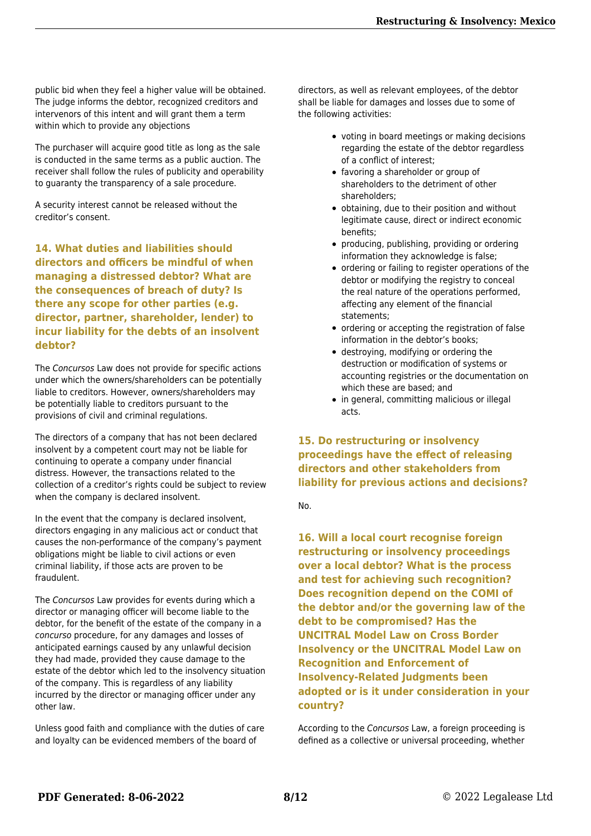public bid when they feel a higher value will be obtained. The judge informs the debtor, recognized creditors and intervenors of this intent and will grant them a term within which to provide any objections

The purchaser will acquire good title as long as the sale is conducted in the same terms as a public auction. The receiver shall follow the rules of publicity and operability to guaranty the transparency of a sale procedure.

A security interest cannot be released without the creditor's consent.

**14. What duties and liabilities should directors and officers be mindful of when managing a distressed debtor? What are the consequences of breach of duty? Is there any scope for other parties (e.g. director, partner, shareholder, lender) to incur liability for the debts of an insolvent debtor?**

The Concursos Law does not provide for specific actions under which the owners/shareholders can be potentially liable to creditors. However, owners/shareholders may be potentially liable to creditors pursuant to the provisions of civil and criminal regulations.

The directors of a company that has not been declared insolvent by a competent court may not be liable for continuing to operate a company under financial distress. However, the transactions related to the collection of a creditor's rights could be subject to review when the company is declared insolvent.

In the event that the company is declared insolvent, directors engaging in any malicious act or conduct that causes the non-performance of the company's payment obligations might be liable to civil actions or even criminal liability, if those acts are proven to be fraudulent.

The Concursos Law provides for events during which a director or managing officer will become liable to the debtor, for the benefit of the estate of the company in a concurso procedure, for any damages and losses of anticipated earnings caused by any unlawful decision they had made, provided they cause damage to the estate of the debtor which led to the insolvency situation of the company. This is regardless of any liability incurred by the director or managing officer under any other law.

Unless good faith and compliance with the duties of care and loyalty can be evidenced members of the board of

directors, as well as relevant employees, of the debtor shall be liable for damages and losses due to some of the following activities:

- voting in board meetings or making decisions regarding the estate of the debtor regardless of a conflict of interest;
- favoring a shareholder or group of shareholders to the detriment of other shareholders;
- obtaining, due to their position and without legitimate cause, direct or indirect economic benefits;
- producing, publishing, providing or ordering information they acknowledge is false;
- ordering or failing to register operations of the debtor or modifying the registry to conceal the real nature of the operations performed, affecting any element of the financial statements;
- ordering or accepting the registration of false information in the debtor's books;
- destroying, modifying or ordering the destruction or modification of systems or accounting registries or the documentation on which these are based; and
- in general, committing malicious or illegal acts.

**15. Do restructuring or insolvency proceedings have the effect of releasing directors and other stakeholders from liability for previous actions and decisions?**

No.

**16. Will a local court recognise foreign restructuring or insolvency proceedings over a local debtor? What is the process and test for achieving such recognition? Does recognition depend on the COMI of the debtor and/or the governing law of the debt to be compromised? Has the UNCITRAL Model Law on Cross Border Insolvency or the UNCITRAL Model Law on Recognition and Enforcement of Insolvency-Related Judgments been adopted or is it under consideration in your country?**

According to the Concursos Law, a foreign proceeding is defined as a collective or universal proceeding, whether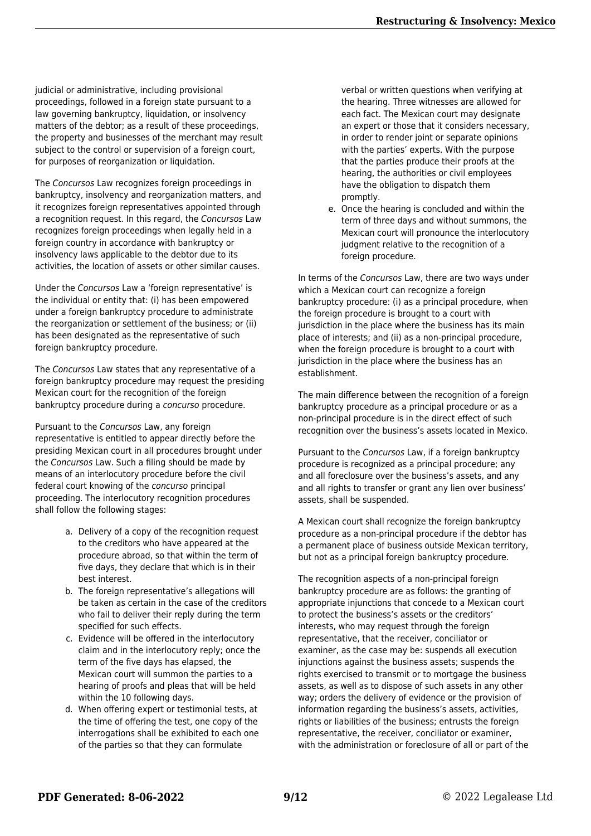judicial or administrative, including provisional proceedings, followed in a foreign state pursuant to a law governing bankruptcy, liquidation, or insolvency matters of the debtor; as a result of these proceedings, the property and businesses of the merchant may result subject to the control or supervision of a foreign court, for purposes of reorganization or liquidation.

The Concursos Law recognizes foreign proceedings in bankruptcy, insolvency and reorganization matters, and it recognizes foreign representatives appointed through a recognition request. In this regard, the Concursos Law recognizes foreign proceedings when legally held in a foreign country in accordance with bankruptcy or insolvency laws applicable to the debtor due to its activities, the location of assets or other similar causes.

Under the Concursos Law a 'foreign representative' is the individual or entity that: (i) has been empowered under a foreign bankruptcy procedure to administrate the reorganization or settlement of the business; or (ii) has been designated as the representative of such foreign bankruptcy procedure.

The Concursos Law states that any representative of a foreign bankruptcy procedure may request the presiding Mexican court for the recognition of the foreign bankruptcy procedure during a concurso procedure.

Pursuant to the Concursos Law, any foreign representative is entitled to appear directly before the presiding Mexican court in all procedures brought under the Concursos Law. Such a filing should be made by means of an interlocutory procedure before the civil federal court knowing of the concurso principal proceeding. The interlocutory recognition procedures shall follow the following stages:

- a. Delivery of a copy of the recognition request to the creditors who have appeared at the procedure abroad, so that within the term of five days, they declare that which is in their best interest.
- b. The foreign representative's allegations will be taken as certain in the case of the creditors who fail to deliver their reply during the term specified for such effects.
- c. Evidence will be offered in the interlocutory claim and in the interlocutory reply; once the term of the five days has elapsed, the Mexican court will summon the parties to a hearing of proofs and pleas that will be held within the 10 following days.
- d. When offering expert or testimonial tests, at the time of offering the test, one copy of the interrogations shall be exhibited to each one of the parties so that they can formulate

verbal or written questions when verifying at the hearing. Three witnesses are allowed for each fact. The Mexican court may designate an expert or those that it considers necessary, in order to render joint or separate opinions with the parties' experts. With the purpose that the parties produce their proofs at the hearing, the authorities or civil employees have the obligation to dispatch them promptly.

e. Once the hearing is concluded and within the term of three days and without summons, the Mexican court will pronounce the interlocutory judgment relative to the recognition of a foreign procedure.

In terms of the Concursos Law, there are two ways under which a Mexican court can recognize a foreign bankruptcy procedure: (i) as a principal procedure, when the foreign procedure is brought to a court with jurisdiction in the place where the business has its main place of interests; and (ii) as a non-principal procedure, when the foreign procedure is brought to a court with jurisdiction in the place where the business has an establishment.

The main difference between the recognition of a foreign bankruptcy procedure as a principal procedure or as a non-principal procedure is in the direct effect of such recognition over the business's assets located in Mexico.

Pursuant to the Concursos Law, if a foreign bankruptcy procedure is recognized as a principal procedure; any and all foreclosure over the business's assets, and any and all rights to transfer or grant any lien over business' assets, shall be suspended.

A Mexican court shall recognize the foreign bankruptcy procedure as a non-principal procedure if the debtor has a permanent place of business outside Mexican territory, but not as a principal foreign bankruptcy procedure.

The recognition aspects of a non-principal foreign bankruptcy procedure are as follows: the granting of appropriate injunctions that concede to a Mexican court to protect the business's assets or the creditors' interests, who may request through the foreign representative, that the receiver, conciliator or examiner, as the case may be: suspends all execution injunctions against the business assets; suspends the rights exercised to transmit or to mortgage the business assets, as well as to dispose of such assets in any other way; orders the delivery of evidence or the provision of information regarding the business's assets, activities, rights or liabilities of the business; entrusts the foreign representative, the receiver, conciliator or examiner, with the administration or foreclosure of all or part of the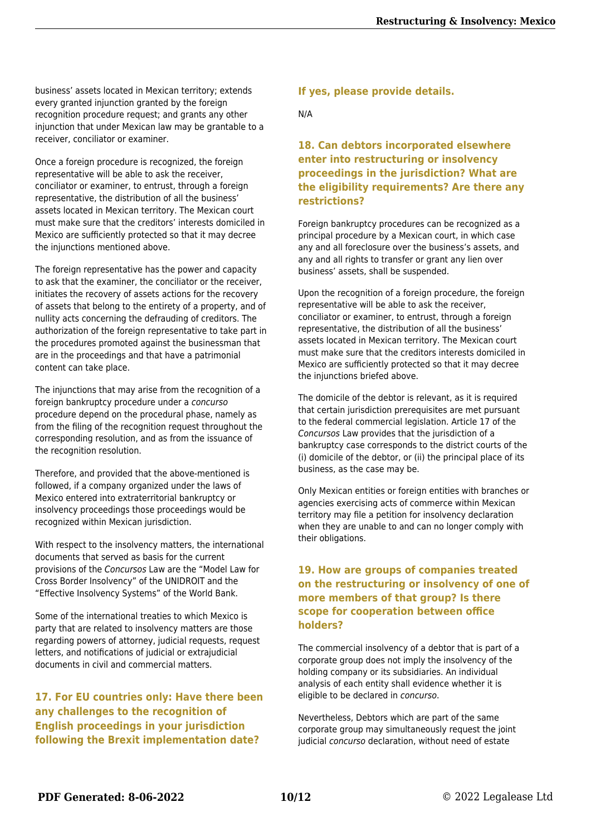business' assets located in Mexican territory; extends every granted injunction granted by the foreign recognition procedure request; and grants any other injunction that under Mexican law may be grantable to a receiver, conciliator or examiner.

Once a foreign procedure is recognized, the foreign representative will be able to ask the receiver, conciliator or examiner, to entrust, through a foreign representative, the distribution of all the business' assets located in Mexican territory. The Mexican court must make sure that the creditors' interests domiciled in Mexico are sufficiently protected so that it may decree the injunctions mentioned above.

The foreign representative has the power and capacity to ask that the examiner, the conciliator or the receiver, initiates the recovery of assets actions for the recovery of assets that belong to the entirety of a property, and of nullity acts concerning the defrauding of creditors. The authorization of the foreign representative to take part in the procedures promoted against the businessman that are in the proceedings and that have a patrimonial content can take place.

The injunctions that may arise from the recognition of a foreign bankruptcy procedure under a concurso procedure depend on the procedural phase, namely as from the filing of the recognition request throughout the corresponding resolution, and as from the issuance of the recognition resolution.

Therefore, and provided that the above-mentioned is followed, if a company organized under the laws of Mexico entered into extraterritorial bankruptcy or insolvency proceedings those proceedings would be recognized within Mexican jurisdiction.

With respect to the insolvency matters, the international documents that served as basis for the current provisions of the Concursos Law are the "Model Law for Cross Border Insolvency" of the UNIDROIT and the "Effective Insolvency Systems" of the World Bank.

Some of the international treaties to which Mexico is party that are related to insolvency matters are those regarding powers of attorney, judicial requests, request letters, and notifications of judicial or extrajudicial documents in civil and commercial matters.

**17. For EU countries only: Have there been any challenges to the recognition of English proceedings in your jurisdiction following the Brexit implementation date?**

#### **If yes, please provide details.**

N/A

#### **18. Can debtors incorporated elsewhere enter into restructuring or insolvency proceedings in the jurisdiction? What are the eligibility requirements? Are there any restrictions?**

Foreign bankruptcy procedures can be recognized as a principal procedure by a Mexican court, in which case any and all foreclosure over the business's assets, and any and all rights to transfer or grant any lien over business' assets, shall be suspended.

Upon the recognition of a foreign procedure, the foreign representative will be able to ask the receiver, conciliator or examiner, to entrust, through a foreign representative, the distribution of all the business' assets located in Mexican territory. The Mexican court must make sure that the creditors interests domiciled in Mexico are sufficiently protected so that it may decree the injunctions briefed above.

The domicile of the debtor is relevant, as it is required that certain jurisdiction prerequisites are met pursuant to the federal commercial legislation. Article 17 of the Concursos Law provides that the jurisdiction of a bankruptcy case corresponds to the district courts of the (i) domicile of the debtor, or (ii) the principal place of its business, as the case may be.

Only Mexican entities or foreign entities with branches or agencies exercising acts of commerce within Mexican territory may file a petition for insolvency declaration when they are unable to and can no longer comply with their obligations.

#### **19. How are groups of companies treated on the restructuring or insolvency of one of more members of that group? Is there scope for cooperation between office holders?**

The commercial insolvency of a debtor that is part of a corporate group does not imply the insolvency of the holding company or its subsidiaries. An individual analysis of each entity shall evidence whether it is eligible to be declared in concurso.

Nevertheless, Debtors which are part of the same corporate group may simultaneously request the joint judicial concurso declaration, without need of estate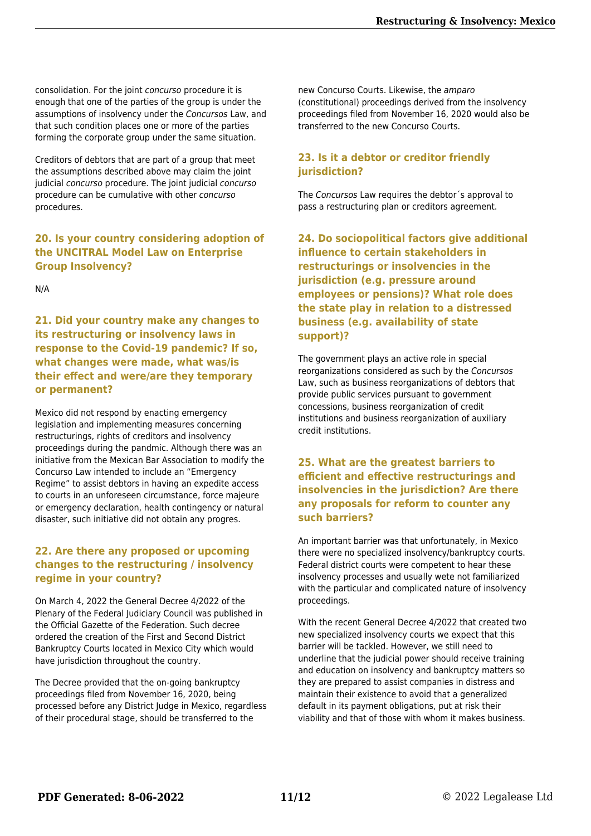consolidation. For the joint concurso procedure it is enough that one of the parties of the group is under the assumptions of insolvency under the Concursos Law, and that such condition places one or more of the parties forming the corporate group under the same situation.

Creditors of debtors that are part of a group that meet the assumptions described above may claim the joint judicial concurso procedure. The joint judicial concurso procedure can be cumulative with other concurso procedures.

**20. Is your country considering adoption of the UNCITRAL Model Law on Enterprise Group Insolvency?**

N/A

**21. Did your country make any changes to its restructuring or insolvency laws in response to the Covid-19 pandemic? If so, what changes were made, what was/is their effect and were/are they temporary or permanent?**

Mexico did not respond by enacting emergency legislation and implementing measures concerning restructurings, rights of creditors and insolvency proceedings during the pandmic. Although there was an initiative from the Mexican Bar Association to modify the Concurso Law intended to include an "Emergency Regime" to assist debtors in having an expedite access to courts in an unforeseen circumstance, force majeure or emergency declaration, health contingency or natural disaster, such initiative did not obtain any progres.

#### **22. Are there any proposed or upcoming changes to the restructuring / insolvency regime in your country?**

On March 4, 2022 the General Decree 4/2022 of the Plenary of the Federal Judiciary Council was published in the Official Gazette of the Federation. Such decree ordered the creation of the First and Second District Bankruptcy Courts located in Mexico City which would have jurisdiction throughout the country.

The Decree provided that the on-going bankruptcy proceedings filed from November 16, 2020, being processed before any District Judge in Mexico, regardless of their procedural stage, should be transferred to the

new Concurso Courts. Likewise, the amparo (constitutional) proceedings derived from the insolvency proceedings filed from November 16, 2020 would also be transferred to the new Concurso Courts.

#### **23. Is it a debtor or creditor friendly jurisdiction?**

The Concursos Law requires the debtor´s approval to pass a restructuring plan or creditors agreement.

**24. Do sociopolitical factors give additional influence to certain stakeholders in restructurings or insolvencies in the jurisdiction (e.g. pressure around employees or pensions)? What role does the state play in relation to a distressed business (e.g. availability of state support)?**

The government plays an active role in special reorganizations considered as such by the Concursos Law, such as business reorganizations of debtors that provide public services pursuant to government concessions, business reorganization of credit institutions and business reorganization of auxiliary credit institutions.

#### **25. What are the greatest barriers to efficient and effective restructurings and insolvencies in the jurisdiction? Are there any proposals for reform to counter any such barriers?**

An important barrier was that unfortunately, in Mexico there were no specialized insolvency/bankruptcy courts. Federal district courts were competent to hear these insolvency processes and usually wete not familiarized with the particular and complicated nature of insolvency proceedings.

With the recent General Decree 4/2022 that created two new specialized insolvency courts we expect that this barrier will be tackled. However, we still need to underline that the judicial power should receive training and education on insolvency and bankruptcy matters so they are prepared to assist companies in distress and maintain their existence to avoid that a generalized default in its payment obligations, put at risk their viability and that of those with whom it makes business.